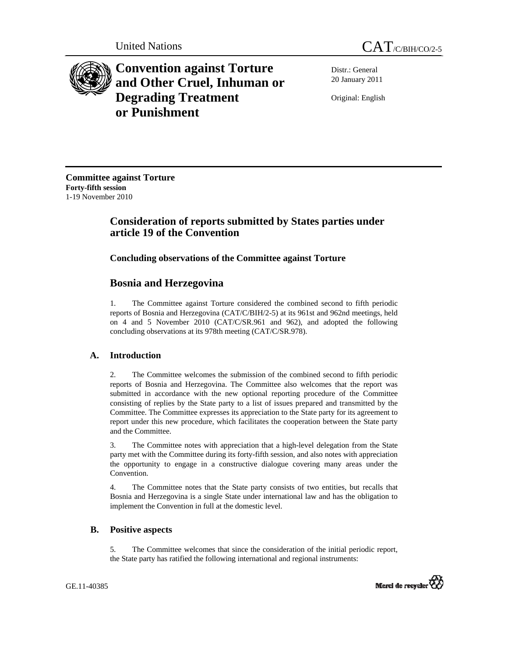

**Convention against Torture and Other Cruel, Inhuman or Degrading Treatment or Punishment**

Distr.: General 20 January 2011

Original: English

**Committee against Torture Forty-fifth session**  1-19 November 2010

# **Consideration of reports submitted by States parties under article 19 of the Convention**

# **Concluding observations of the Committee against Torture**

# **Bosnia and Herzegovina**

1. The Committee against Torture considered the combined second to fifth periodic reports of Bosnia and Herzegovina (CAT/C/BIH/2-5) at its 961st and 962nd meetings, held on 4 and 5 November 2010 (CAT/C/SR.961 and 962), and adopted the following concluding observations at its 978th meeting (CAT/C/SR.978).

# **A. Introduction**

2. The Committee welcomes the submission of the combined second to fifth periodic reports of Bosnia and Herzegovina. The Committee also welcomes that the report was submitted in accordance with the new optional reporting procedure of the Committee consisting of replies by the State party to a list of issues prepared and transmitted by the Committee. The Committee expresses its appreciation to the State party for its agreement to report under this new procedure, which facilitates the cooperation between the State party and the Committee.

3. The Committee notes with appreciation that a high-level delegation from the State party met with the Committee during its forty-fifth session, and also notes with appreciation the opportunity to engage in a constructive dialogue covering many areas under the Convention.

4. The Committee notes that the State party consists of two entities, but recalls that Bosnia and Herzegovina is a single State under international law and has the obligation to implement the Convention in full at the domestic level.

# **B. Positive aspects**

5. The Committee welcomes that since the consideration of the initial periodic report, the State party has ratified the following international and regional instruments:

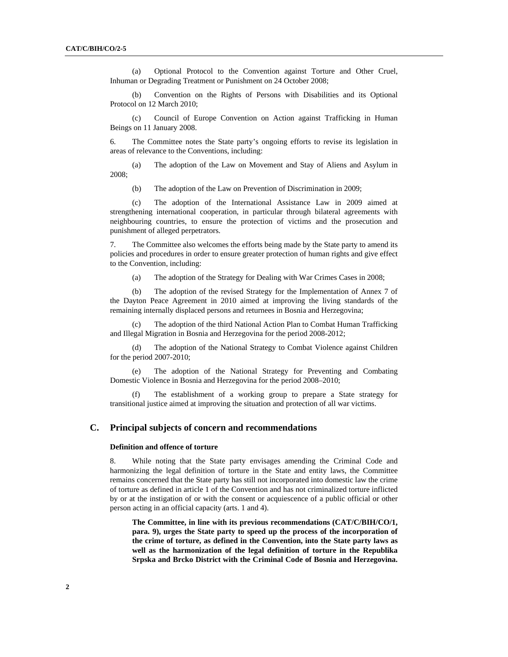(a) Optional Protocol to the Convention against Torture and Other Cruel, Inhuman or Degrading Treatment or Punishment on 24 October 2008;

 (b) Convention on the Rights of Persons with Disabilities and its Optional Protocol on 12 March 2010;

 (c) Council of Europe Convention on Action against Trafficking in Human Beings on 11 January 2008.

6. The Committee notes the State party's ongoing efforts to revise its legislation in areas of relevance to the Conventions, including:

 (a) The adoption of the Law on Movement and Stay of Aliens and Asylum in 2008;

(b) The adoption of the Law on Prevention of Discrimination in 2009;

 (c) The adoption of the International Assistance Law in 2009 aimed at strengthening international cooperation, in particular through bilateral agreements with neighbouring countries, to ensure the protection of victims and the prosecution and punishment of alleged perpetrators.

7. The Committee also welcomes the efforts being made by the State party to amend its policies and procedures in order to ensure greater protection of human rights and give effect to the Convention, including:

(a) The adoption of the Strategy for Dealing with War Crimes Cases in 2008;

 (b) The adoption of the revised Strategy for the Implementation of Annex 7 of the Dayton Peace Agreement in 2010 aimed at improving the living standards of the remaining internally displaced persons and returnees in Bosnia and Herzegovina;

 (c) The adoption of the third National Action Plan to Combat Human Trafficking and Illegal Migration in Bosnia and Herzegovina for the period 2008-2012;

The adoption of the National Strategy to Combat Violence against Children for the period 2007-2010;

 (e) The adoption of the National Strategy for Preventing and Combating Domestic Violence in Bosnia and Herzegovina for the period 2008–2010;

 (f) The establishment of a working group to prepare a State strategy for transitional justice aimed at improving the situation and protection of all war victims.

## **C. Principal subjects of concern and recommendations**

# **Definition and offence of torture**

8. While noting that the State party envisages amending the Criminal Code and harmonizing the legal definition of torture in the State and entity laws, the Committee remains concerned that the State party has still not incorporated into domestic law the crime of torture as defined in article 1 of the Convention and has not criminalized torture inflicted by or at the instigation of or with the consent or acquiescence of a public official or other person acting in an official capacity (arts. 1 and 4).

**The Committee, in line with its previous recommendations (CAT/C/BIH/CO/1, para. 9), urges the State party to speed up the process of the incorporation of the crime of torture, as defined in the Convention, into the State party laws as well as the harmonization of the legal definition of torture in the Republika Srpska and Brcko District with the Criminal Code of Bosnia and Herzegovina.**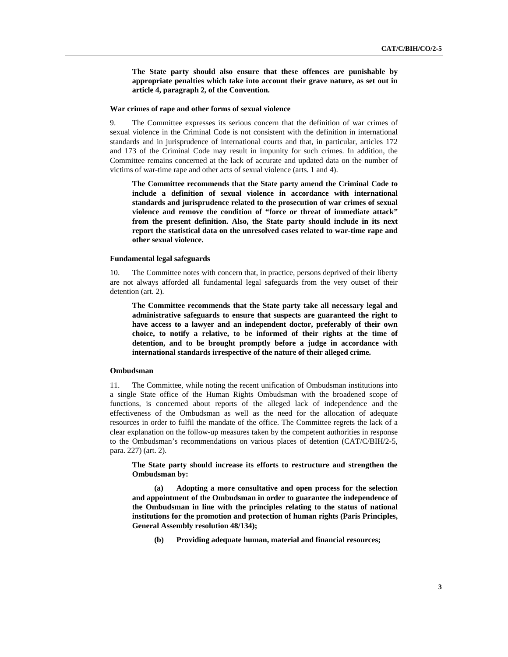**The State party should also ensure that these offences are punishable by appropriate penalties which take into account their grave nature, as set out in article 4, paragraph 2, of the Convention.** 

#### **War crimes of rape and other forms of sexual violence**

9. The Committee expresses its serious concern that the definition of war crimes of sexual violence in the Criminal Code is not consistent with the definition in international standards and in jurisprudence of international courts and that, in particular, articles 172 and 173 of the Criminal Code may result in impunity for such crimes. In addition, the Committee remains concerned at the lack of accurate and updated data on the number of victims of war-time rape and other acts of sexual violence (arts. 1 and 4).

**The Committee recommends that the State party amend the Criminal Code to include a definition of sexual violence in accordance with international standards and jurisprudence related to the prosecution of war crimes of sexual violence and remove the condition of "force or threat of immediate attack" from the present definition. Also, the State party should include in its next report the statistical data on the unresolved cases related to war-time rape and other sexual violence.** 

## **Fundamental legal safeguards**

10. The Committee notes with concern that, in practice, persons deprived of their liberty are not always afforded all fundamental legal safeguards from the very outset of their detention (art. 2).

**The Committee recommends that the State party take all necessary legal and administrative safeguards to ensure that suspects are guaranteed the right to have access to a lawyer and an independent doctor, preferably of their own choice, to notify a relative, to be informed of their rights at the time of detention, and to be brought promptly before a judge in accordance with international standards irrespective of the nature of their alleged crime.** 

## **Ombudsman**

11. The Committee, while noting the recent unification of Ombudsman institutions into a single State office of the Human Rights Ombudsman with the broadened scope of functions, is concerned about reports of the alleged lack of independence and the effectiveness of the Ombudsman as well as the need for the allocation of adequate resources in order to fulfil the mandate of the office. The Committee regrets the lack of a clear explanation on the follow-up measures taken by the competent authorities in response to the Ombudsman's recommendations on various places of detention (CAT/C/BIH/2-5, para. 227) (art. 2).

**The State party should increase its efforts to restructure and strengthen the Ombudsman by:** 

Adopting a more consultative and open process for the selection **and appointment of the Ombudsman in order to guarantee the independence of the Ombudsman in line with the principles relating to the status of national institutions for the promotion and protection of human rights (Paris Principles, General Assembly resolution 48/134);** 

 **(b) Providing adequate human, material and financial resources;**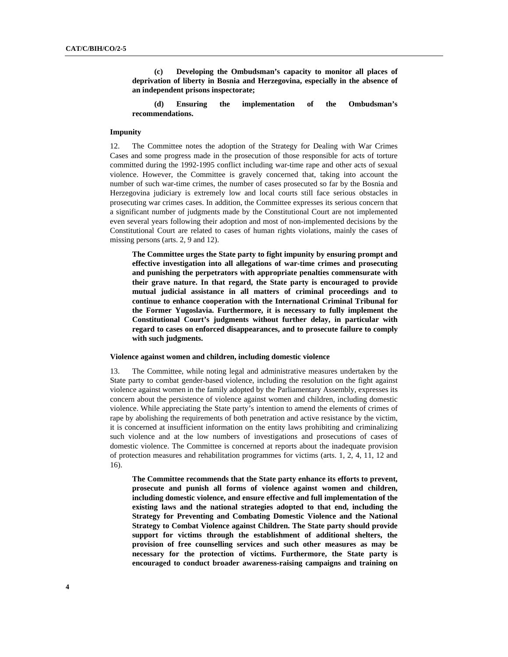**(c) Developing the Ombudsman's capacity to monitor all places of deprivation of liberty in Bosnia and Herzegovina, especially in the absence of an independent prisons inspectorate;** 

 **(d) Ensuring the implementation of the Ombudsman's recommendations.** 

### **Impunity**

12. The Committee notes the adoption of the Strategy for Dealing with War Crimes Cases and some progress made in the prosecution of those responsible for acts of torture committed during the 1992-1995 conflict including war-time rape and other acts of sexual violence. However, the Committee is gravely concerned that, taking into account the number of such war-time crimes, the number of cases prosecuted so far by the Bosnia and Herzegovina judiciary is extremely low and local courts still face serious obstacles in prosecuting war crimes cases. In addition, the Committee expresses its serious concern that a significant number of judgments made by the Constitutional Court are not implemented even several years following their adoption and most of non-implemented decisions by the Constitutional Court are related to cases of human rights violations, mainly the cases of missing persons (arts. 2, 9 and 12).

**The Committee urges the State party to fight impunity by ensuring prompt and effective investigation into all allegations of war-time crimes and prosecuting and punishing the perpetrators with appropriate penalties commensurate with their grave nature. In that regard, the State party is encouraged to provide mutual judicial assistance in all matters of criminal proceedings and to continue to enhance cooperation with the International Criminal Tribunal for the Former Yugoslavia. Furthermore, it is necessary to fully implement the Constitutional Court's judgments without further delay, in particular with regard to cases on enforced disappearances, and to prosecute failure to comply with such judgments.** 

## **Violence against women and children, including domestic violence**

13. The Committee, while noting legal and administrative measures undertaken by the State party to combat gender-based violence, including the resolution on the fight against violence against women in the family adopted by the Parliamentary Assembly, expresses its concern about the persistence of violence against women and children, including domestic violence. While appreciating the State party's intention to amend the elements of crimes of rape by abolishing the requirements of both penetration and active resistance by the victim, it is concerned at insufficient information on the entity laws prohibiting and criminalizing such violence and at the low numbers of investigations and prosecutions of cases of domestic violence. The Committee is concerned at reports about the inadequate provision of protection measures and rehabilitation programmes for victims (arts. 1, 2, 4, 11, 12 and 16).

**The Committee recommends that the State party enhance its efforts to prevent, prosecute and punish all forms of violence against women and children, including domestic violence, and ensure effective and full implementation of the existing laws and the national strategies adopted to that end, including the Strategy for Preventing and Combating Domestic Violence and the National Strategy to Combat Violence against Children. The State party should provide support for victims through the establishment of additional shelters, the provision of free counselling services and such other measures as may be necessary for the protection of victims. Furthermore, the State party is encouraged to conduct broader awareness-raising campaigns and training on**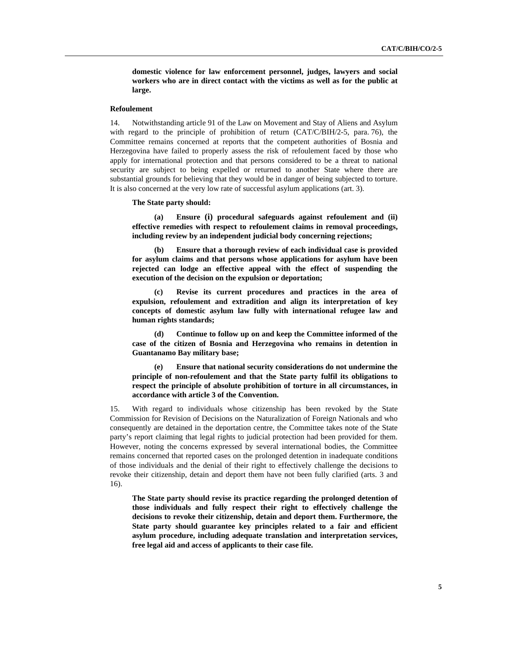**domestic violence for law enforcement personnel, judges, lawyers and social workers who are in direct contact with the victims as well as for the public at large.** 

## **Refoulement**

14. Notwithstanding article 91 of the Law on Movement and Stay of Aliens and Asylum with regard to the principle of prohibition of return (CAT/C/BIH/2-5, para. 76), the Committee remains concerned at reports that the competent authorities of Bosnia and Herzegovina have failed to properly assess the risk of refoulement faced by those who apply for international protection and that persons considered to be a threat to national security are subject to being expelled or returned to another State where there are substantial grounds for believing that they would be in danger of being subjected to torture. It is also concerned at the very low rate of successful asylum applications (art. 3).

#### **The State party should:**

**(a) Ensure (i) procedural safeguards against refoulement and (ii) effective remedies with respect to refoulement claims in removal proceedings, including review by an independent judicial body concerning rejections;** 

**(b) Ensure that a thorough review of each individual case is provided for asylum claims and that persons whose applications for asylum have been rejected can lodge an effective appeal with the effect of suspending the execution of the decision on the expulsion or deportation;** 

**(c) Revise its current procedures and practices in the area of expulsion, refoulement and extradition and align its interpretation of key concepts of domestic asylum law fully with international refugee law and human rights standards;** 

**(d) Continue to follow up on and keep the Committee informed of the case of the citizen of Bosnia and Herzegovina who remains in detention in Guantanamo Bay military base;** 

**(e) Ensure that national security considerations do not undermine the principle of non-refoulement and that the State party fulfil its obligations to respect the principle of absolute prohibition of torture in all circumstances, in accordance with article 3 of the Convention.** 

15. With regard to individuals whose citizenship has been revoked by the State Commission for Revision of Decisions on the Naturalization of Foreign Nationals and who consequently are detained in the deportation centre, the Committee takes note of the State party's report claiming that legal rights to judicial protection had been provided for them. However, noting the concerns expressed by several international bodies, the Committee remains concerned that reported cases on the prolonged detention in inadequate conditions of those individuals and the denial of their right to effectively challenge the decisions to revoke their citizenship, detain and deport them have not been fully clarified (arts. 3 and 16).

**The State party should revise its practice regarding the prolonged detention of those individuals and fully respect their right to effectively challenge the decisions to revoke their citizenship, detain and deport them. Furthermore, the State party should guarantee key principles related to a fair and efficient asylum procedure, including adequate translation and interpretation services, free legal aid and access of applicants to their case file.**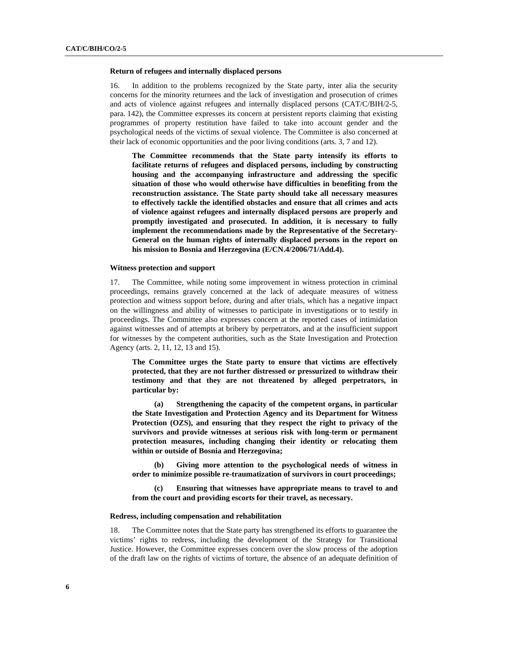#### **Return of refugees and internally displaced persons**

16. In addition to the problems recognized by the State party, inter alia the security concerns for the minority returnees and the lack of investigation and prosecution of crimes and acts of violence against refugees and internally displaced persons (CAT/C/BIH/2-5, para. 142), the Committee expresses its concern at persistent reports claiming that existing programmes of property restitution have failed to take into account gender and the psychological needs of the victims of sexual violence. The Committee is also concerned at their lack of economic opportunities and the poor living conditions (arts. 3, 7 and 12).

**The Committee recommends that the State party intensify its efforts to facilitate returns of refugees and displaced persons, including by constructing housing and the accompanying infrastructure and addressing the specific situation of those who would otherwise have difficulties in benefiting from the reconstruction assistance. The State party should take all necessary measures to effectively tackle the identified obstacles and ensure that all crimes and acts of violence against refugees and internally displaced persons are properly and promptly investigated and prosecuted. In addition, it is necessary to fully implement the recommendations made by the Representative of the Secretary-General on the human rights of internally displaced persons in the report on his mission to Bosnia and Herzegovina (E/CN.4/2006/71/Add.4).** 

## **Witness protection and support**

17. The Committee, while noting some improvement in witness protection in criminal proceedings, remains gravely concerned at the lack of adequate measures of witness protection and witness support before, during and after trials, which has a negative impact on the willingness and ability of witnesses to participate in investigations or to testify in proceedings. The Committee also expresses concern at the reported cases of intimidation against witnesses and of attempts at bribery by perpetrators, and at the insufficient support for witnesses by the competent authorities, such as the State Investigation and Protection Agency (arts. 2, 11, 12, 13 and 15).

**The Committee urges the State party to ensure that victims are effectively protected, that they are not further distressed or pressurized to withdraw their testimony and that they are not threatened by alleged perpetrators, in particular by:** 

 **(a) Strengthening the capacity of the competent organs, in particular the State Investigation and Protection Agency and its Department for Witness Protection (OZS), and ensuring that they respect the right to privacy of the survivors and provide witnesses at serious risk with long-term or permanent protection measures, including changing their identity or relocating them within or outside of Bosnia and Herzegovina;** 

 **(b) Giving more attention to the psychological needs of witness in order to minimize possible re-traumatization of survivors in court proceedings;** 

**Ensuring that witnesses have appropriate means to travel to and from the court and providing escorts for their travel, as necessary.** 

## **Redress, including compensation and rehabilitation**

18. The Committee notes that the State party has strengthened its efforts to guarantee the victims' rights to redress, including the development of the Strategy for Transitional Justice. However, the Committee expresses concern over the slow process of the adoption of the draft law on the rights of victims of torture, the absence of an adequate definition of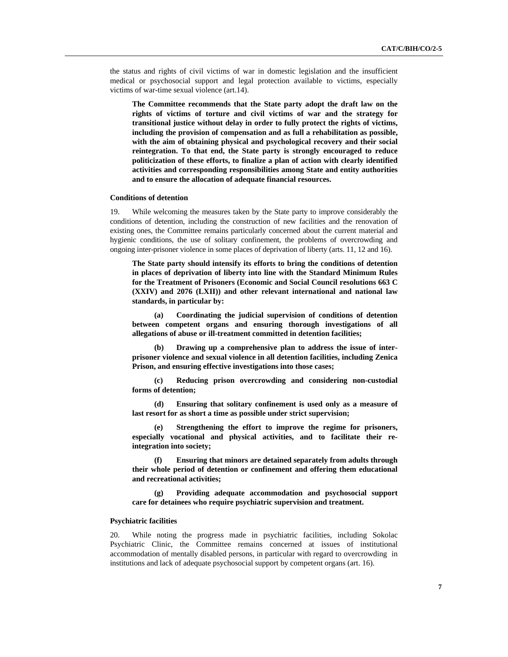the status and rights of civil victims of war in domestic legislation and the insufficient medical or psychosocial support and legal protection available to victims, especially victims of war-time sexual violence (art.14).

**The Committee recommends that the State party adopt the draft law on the rights of victims of torture and civil victims of war and the strategy for transitional justice without delay in order to fully protect the rights of victims, including the provision of compensation and as full a rehabilitation as possible, with the aim of obtaining physical and psychological recovery and their social reintegration. To that end, the State party is strongly encouraged to reduce politicization of these efforts, to finalize a plan of action with clearly identified activities and corresponding responsibilities among State and entity authorities and to ensure the allocation of adequate financial resources.** 

## **Conditions of detention**

19. While welcoming the measures taken by the State party to improve considerably the conditions of detention, including the construction of new facilities and the renovation of existing ones, the Committee remains particularly concerned about the current material and hygienic conditions, the use of solitary confinement, the problems of overcrowding and ongoing inter-prisoner violence in some places of deprivation of liberty (arts. 11, 12 and 16).

**The State party should intensify its efforts to bring the conditions of detention in places of deprivation of liberty into line with the Standard Minimum Rules for the Treatment of Prisoners (Economic and Social Council resolutions 663 C (XXIV) and 2076 (LXII)) and other relevant international and national law standards, in particular by:** 

 **(a) Coordinating the judicial supervision of conditions of detention between competent organs and ensuring thorough investigations of all allegations of abuse or ill-treatment committed in detention facilities;** 

 **(b) Drawing up a comprehensive plan to address the issue of interprisoner violence and sexual violence in all detention facilities, including Zenica Prison, and ensuring effective investigations into those cases;**

 **(c) Reducing prison overcrowding and considering non-custodial forms of detention;** 

 **(d) Ensuring that solitary confinement is used only as a measure of last resort for as short a time as possible under strict supervision;** 

 **(e) Strengthening the effort to improve the regime for prisoners, especially vocational and physical activities, and to facilitate their reintegration into society;** 

 **(f) Ensuring that minors are detained separately from adults through their whole period of detention or confinement and offering them educational and recreational activities;** 

 **(g) Providing adequate accommodation and psychosocial support care for detainees who require psychiatric supervision and treatment.** 

## **Psychiatric facilities**

20. While noting the progress made in psychiatric facilities, including Sokolac Psychiatric Clinic, the Committee remains concerned at issues of institutional accommodation of mentally disabled persons, in particular with regard to overcrowding in institutions and lack of adequate psychosocial support by competent organs (art. 16).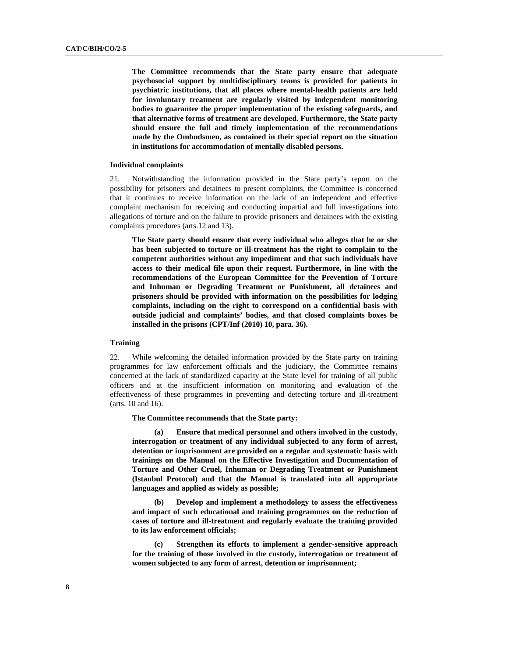**The Committee recommends that the State party ensure that adequate psychosocial support by multidisciplinary teams is provided for patients in psychiatric institutions, that all places where mental-health patients are held for involuntary treatment are regularly visited by independent monitoring bodies to guarantee the proper implementation of the existing safeguards, and that alternative forms of treatment are developed. Furthermore, the State party should ensure the full and timely implementation of the recommendations made by the Ombudsmen, as contained in their special report on the situation in institutions for accommodation of mentally disabled persons.** 

## **Individual complaints**

21. Notwithstanding the information provided in the State party's report on the possibility for prisoners and detainees to present complaints, the Committee is concerned that it continues to receive information on the lack of an independent and effective complaint mechanism for receiving and conducting impartial and full investigations into allegations of torture and on the failure to provide prisoners and detainees with the existing complaints procedures (arts.12 and 13).

**The State party should ensure that every individual who alleges that he or she has been subjected to torture or ill-treatment has the right to complain to the competent authorities without any impediment and that such individuals have access to their medical file upon their request. Furthermore, in line with the recommendations of the European Committee for the Prevention of Torture and Inhuman or Degrading Treatment or Punishment, all detainees and prisoners should be provided with information on the possibilities for lodging complaints, including on the right to correspond on a confidential basis with outside judicial and complaints' bodies, and that closed complaints boxes be installed in the prisons (CPT/Inf (2010) 10, para. 36).** 

## **Training**

22. While welcoming the detailed information provided by the State party on training programmes for law enforcement officials and the judiciary, the Committee remains concerned at the lack of standardized capacity at the State level for training of all public officers and at the insufficient information on monitoring and evaluation of the effectiveness of these programmes in preventing and detecting torture and ill-treatment (arts. 10 and 16).

**The Committee recommends that the State party:** 

 **(a) Ensure that medical personnel and others involved in the custody, interrogation or treatment of any individual subjected to any form of arrest, detention or imprisonment are provided on a regular and systematic basis with trainings on the Manual on the Effective Investigation and Documentation of Torture and Other Cruel, Inhuman or Degrading Treatment or Punishment (Istanbul Protocol) and that the Manual is translated into all appropriate languages and applied as widely as possible;** 

 **(b) Develop and implement a methodology to assess the effectiveness and impact of such educational and training programmes on the reduction of cases of torture and ill-treatment and regularly evaluate the training provided to its law enforcement officials;** 

 **(c) Strengthen its efforts to implement a gender-sensitive approach for the training of those involved in the custody, interrogation or treatment of women subjected to any form of arrest, detention or imprisonment;**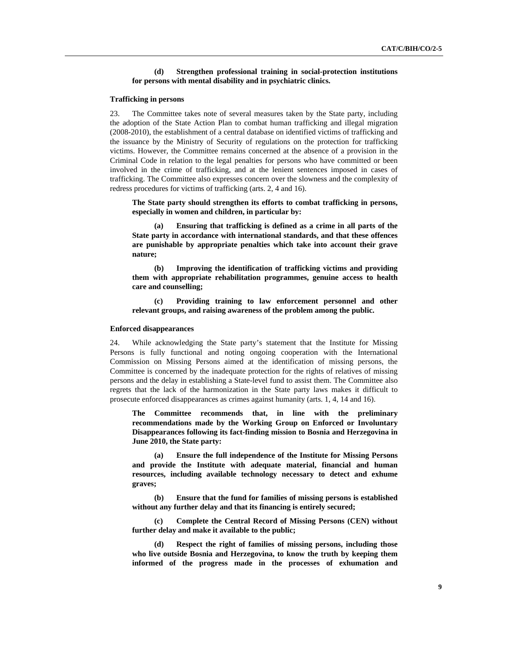## **(d) Strengthen professional training in social-protection institutions for persons with mental disability and in psychiatric clinics.**

### **Trafficking in persons**

23. The Committee takes note of several measures taken by the State party, including the adoption of the State Action Plan to combat human trafficking and illegal migration (2008-2010), the establishment of a central database on identified victims of trafficking and the issuance by the Ministry of Security of regulations on the protection for trafficking victims. However, the Committee remains concerned at the absence of a provision in the Criminal Code in relation to the legal penalties for persons who have committed or been involved in the crime of trafficking, and at the lenient sentences imposed in cases of trafficking. The Committee also expresses concern over the slowness and the complexity of redress procedures for victims of trafficking (arts. 2, 4 and 16).

**The State party should strengthen its efforts to combat trafficking in persons, especially in women and children, in particular by:** 

**Ensuring that trafficking is defined as a crime in all parts of the State party in accordance with international standards, and that these offences are punishable by appropriate penalties which take into account their grave nature;** 

 **(b) Improving the identification of trafficking victims and providing them with appropriate rehabilitation programmes, genuine access to health care and counselling;** 

 **(c) Providing training to law enforcement personnel and other relevant groups, and raising awareness of the problem among the public.** 

## **Enforced disappearances**

24. While acknowledging the State party's statement that the Institute for Missing Persons is fully functional and noting ongoing cooperation with the International Commission on Missing Persons aimed at the identification of missing persons, the Committee is concerned by the inadequate protection for the rights of relatives of missing persons and the delay in establishing a State-level fund to assist them. The Committee also regrets that the lack of the harmonization in the State party laws makes it difficult to prosecute enforced disappearances as crimes against humanity (arts. 1, 4, 14 and 16).

**The Committee recommends that, in line with the preliminary recommendations made by the Working Group on Enforced or Involuntary Disappearances following its fact-finding mission to Bosnia and Herzegovina in June 2010, the State party:** 

**Ensure the full independence of the Institute for Missing Persons and provide the Institute with adequate material, financial and human resources, including available technology necessary to detect and exhume graves;** 

 **(b) Ensure that the fund for families of missing persons is established without any further delay and that its financing is entirely secured;** 

 **(c) Complete the Central Record of Missing Persons (CEN) without further delay and make it available to the public;** 

 **(d) Respect the right of families of missing persons, including those who live outside Bosnia and Herzegovina, to know the truth by keeping them informed of the progress made in the processes of exhumation and**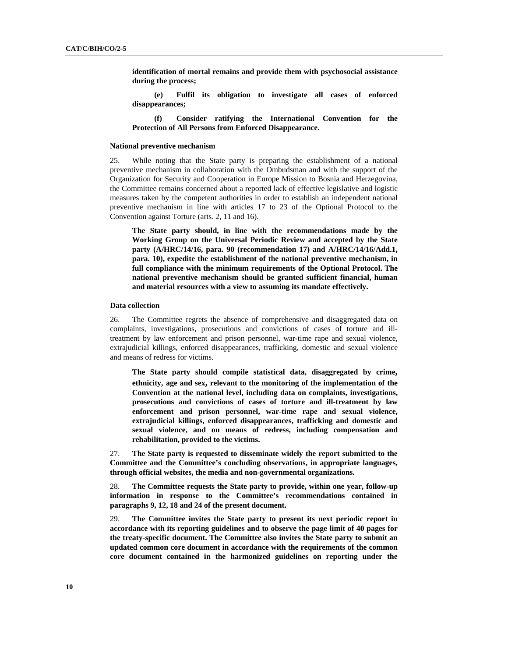**identification of mortal remains and provide them with psychosocial assistance during the process;** 

 **(e) Fulfil its obligation to investigate all cases of enforced disappearances;** 

 **(f) Consider ratifying the International Convention for the Protection of All Persons from Enforced Disappearance.** 

## **National preventive mechanism**

25. While noting that the State party is preparing the establishment of a national preventive mechanism in collaboration with the Ombudsman and with the support of the Organization for Security and Cooperation in Europe Mission to Bosnia and Herzegovina, the Committee remains concerned about a reported lack of effective legislative and logistic measures taken by the competent authorities in order to establish an independent national preventive mechanism in line with articles 17 to 23 of the Optional Protocol to the Convention against Torture (arts. 2, 11 and 16).

**The State party should, in line with the recommendations made by the Working Group on the Universal Periodic Review and accepted by the State party (A/HRC/14/16, para. 90 (recommendation 17) and A/HRC/14/16/Add.1, para. 10), expedite the establishment of the national preventive mechanism, in full compliance with the minimum requirements of the Optional Protocol. The national preventive mechanism should be granted sufficient financial, human and material resources with a view to assuming its mandate effectively.** 

# **Data collection**

26. The Committee regrets the absence of comprehensive and disaggregated data on complaints, investigations, prosecutions and convictions of cases of torture and illtreatment by law enforcement and prison personnel, war-time rape and sexual violence, extrajudicial killings, enforced disappearances, trafficking, domestic and sexual violence and means of redress for victims.

**The State party should compile statistical data, disaggregated by crime, ethnicity, age and sex, relevant to the monitoring of the implementation of the Convention at the national level, including data on complaints, investigations, prosecutions and convictions of cases of torture and ill-treatment by law enforcement and prison personnel, war-time rape and sexual violence, extrajudicial killings, enforced disappearances, trafficking and domestic and sexual violence, and on means of redress, including compensation and rehabilitation, provided to the victims.** 

27. **The State party is requested to disseminate widely the report submitted to the Committee and the Committee's concluding observations, in appropriate languages, through official websites, the media and non-governmental organizations.**

28. **The Committee requests the State party to provide, within one year, follow-up information in response to the Committee's recommendations contained in paragraphs 9, 12, 18 and 24 of the present document.** 

29. **The Committee invites the State party to present its next periodic report in accordance with its reporting guidelines and to observe the page limit of 40 pages for the treaty-specific document. The Committee also invites the State party to submit an updated common core document in accordance with the requirements of the common core document contained in the harmonized guidelines on reporting under the**